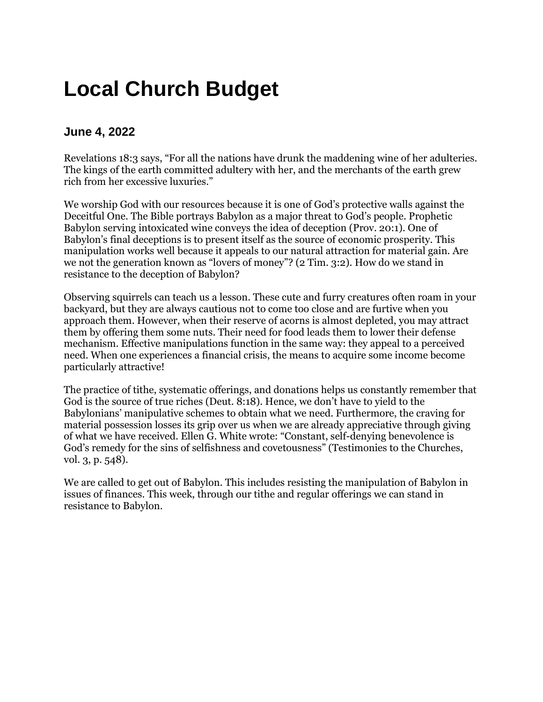# **Local Church Budget**

### **June 4, 2022**

Revelations 18:3 says, "For all the nations have drunk the maddening wine of her adulteries. The kings of the earth committed adultery with her, and the merchants of the earth grew rich from her excessive luxuries."

We worship God with our resources because it is one of God's protective walls against the Deceitful One. The Bible portrays Babylon as a major threat to God's people. Prophetic Babylon serving intoxicated wine conveys the idea of deception (Prov. 20:1). One of Babylon's final deceptions is to present itself as the source of economic prosperity. This manipulation works well because it appeals to our natural attraction for material gain. Are we not the generation known as "lovers of money"? (2 Tim. 3:2). How do we stand in resistance to the deception of Babylon?

Observing squirrels can teach us a lesson. These cute and furry creatures often roam in your backyard, but they are always cautious not to come too close and are furtive when you approach them. However, when their reserve of acorns is almost depleted, you may attract them by offering them some nuts. Their need for food leads them to lower their defense mechanism. Effective manipulations function in the same way: they appeal to a perceived need. When one experiences a financial crisis, the means to acquire some income become particularly attractive!

The practice of tithe, systematic offerings, and donations helps us constantly remember that God is the source of true riches (Deut. 8:18). Hence, we don't have to yield to the Babylonians' manipulative schemes to obtain what we need. Furthermore, the craving for material possession losses its grip over us when we are already appreciative through giving of what we have received. Ellen G. White wrote: "Constant, self-denying benevolence is God's remedy for the sins of selfishness and covetousness" (Testimonies to the Churches, vol. 3, p. 548).

We are called to get out of Babylon. This includes resisting the manipulation of Babylon in issues of finances. This week, through our tithe and regular offerings we can stand in resistance to Babylon.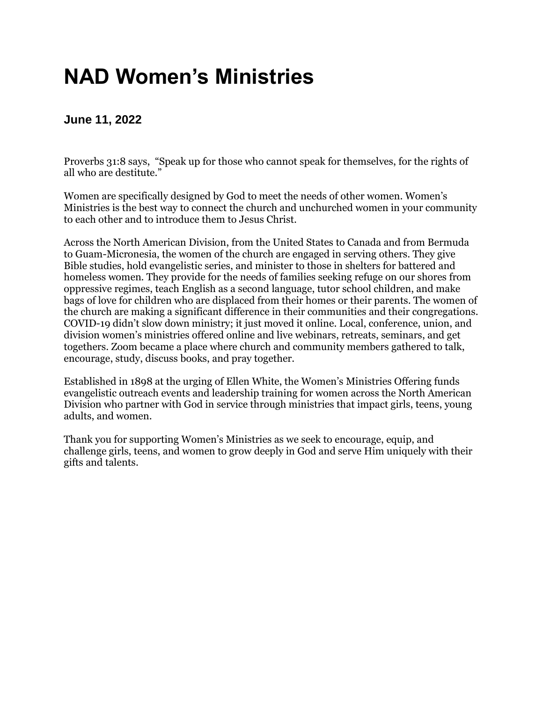## **NAD Women's Ministries**

#### **June 11, 2022**

Proverbs 31:8 says, "Speak up for those who cannot speak for themselves, for the rights of all who are destitute."

Women are specifically designed by God to meet the needs of other women. Women's Ministries is the best way to connect the church and unchurched women in your community to each other and to introduce them to Jesus Christ.

Across the North American Division, from the United States to Canada and from Bermuda to Guam-Micronesia, the women of the church are engaged in serving others. They give Bible studies, hold evangelistic series, and minister to those in shelters for battered and homeless women. They provide for the needs of families seeking refuge on our shores from oppressive regimes, teach English as a second language, tutor school children, and make bags of love for children who are displaced from their homes or their parents. The women of the church are making a significant difference in their communities and their congregations. COVID-19 didn't slow down ministry; it just moved it online. Local, conference, union, and division women's ministries offered online and live webinars, retreats, seminars, and get togethers. Zoom became a place where church and community members gathered to talk, encourage, study, discuss books, and pray together.

Established in 1898 at the urging of Ellen White, the Women's Ministries Offering funds evangelistic outreach events and leadership training for women across the North American Division who partner with God in service through ministries that impact girls, teens, young adults, and women.

Thank you for supporting Women's Ministries as we seek to encourage, equip, and challenge girls, teens, and women to grow deeply in God and serve Him uniquely with their gifts and talents.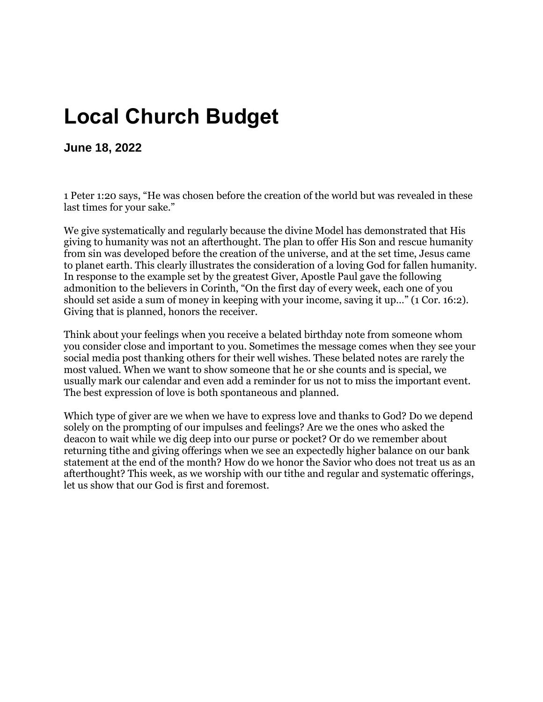## **Local Church Budget**

**June 18, 2022**

1 Peter 1:20 says, "He was chosen before the creation of the world but was revealed in these last times for your sake."

We give systematically and regularly because the divine Model has demonstrated that His giving to humanity was not an afterthought. The plan to offer His Son and rescue humanity from sin was developed before the creation of the universe, and at the set time, Jesus came to planet earth. This clearly illustrates the consideration of a loving God for fallen humanity. In response to the example set by the greatest Giver, Apostle Paul gave the following admonition to the believers in Corinth, "On the first day of every week, each one of you should set aside a sum of money in keeping with your income, saving it up…" (1 Cor. 16:2). Giving that is planned, honors the receiver.

Think about your feelings when you receive a belated birthday note from someone whom you consider close and important to you. Sometimes the message comes when they see your social media post thanking others for their well wishes. These belated notes are rarely the most valued. When we want to show someone that he or she counts and is special, we usually mark our calendar and even add a reminder for us not to miss the important event. The best expression of love is both spontaneous and planned.

Which type of giver are we when we have to express love and thanks to God? Do we depend solely on the prompting of our impulses and feelings? Are we the ones who asked the deacon to wait while we dig deep into our purse or pocket? Or do we remember about returning tithe and giving offerings when we see an expectedly higher balance on our bank statement at the end of the month? How do we honor the Savior who does not treat us as an afterthought? This week, as we worship with our tithe and regular and systematic offerings, let us show that our God is first and foremost.